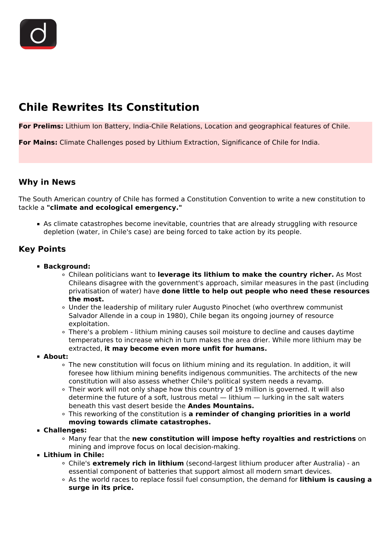# **Chile Rewrites Its Constitution**

**For Prelims:** Lithium Ion Battery, India-Chile Relations, Location and geographical features of Chile.

**For Mains:** Climate Challenges posed by Lithium Extraction, Significance of Chile for India.

## **Why in News**

The South American country of Chile has formed a Constitution Convention to write a new constitution to tackle a **"climate and ecological emergency."**

As climate catastrophes become inevitable, countries that are already struggling with resource depletion (water, in Chile's case) are being forced to take action by its people.

# **Key Points**

- **Background:**
	- Chilean politicians want to **leverage its lithium to make the country richer.** As Most Chileans disagree with the government's approach, similar measures in the past (including privatisation of water) have **done little to help out people who need these resources the most.**
	- Under the leadership of military ruler Augusto Pinochet (who overthrew communist Salvador Allende in a coup in 1980), Chile began its ongoing journey of resource exploitation.
	- There's a problem lithium mining causes soil moisture to decline and causes daytime temperatures to increase which in turn makes the area drier. While more lithium may be extracted, **it may become even more unfit for humans.**
- **About:**
	- The new constitution will focus on lithium mining and its regulation. In addition, it will foresee how lithium mining benefits indigenous communities. The architects of the new constitution will also assess whether Chile's political system needs a revamp.
	- Their work will not only shape how this country of 19 million is governed. It will also determine the future of a soft, lustrous metal — lithium — lurking in the salt waters beneath this vast desert beside the **Andes Mountains.**
	- This reworking of the constitution is **a reminder of changing priorities in a world moving towards climate catastrophes.**
- **Challenges:**
	- Many fear that the **new constitution will impose hefty royalties and restrictions** on mining and improve focus on local decision-making.
- **Lithium in Chile:**
	- Chile's **extremely rich in lithium** (second-largest lithium producer after Australia) an essential component of batteries that support almost all modern smart devices.
	- As the world races to replace fossil fuel consumption, the demand for **lithium is causing a surge in its price.**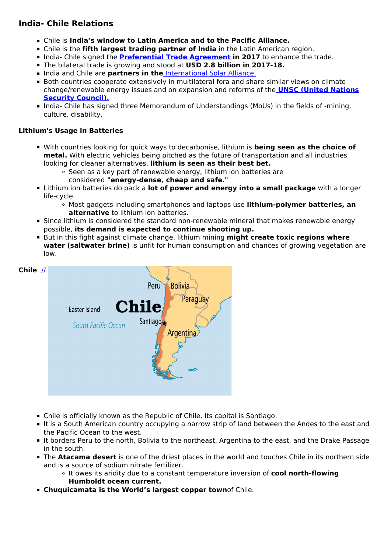# **India- Chile Relations**

- Chile is **India's window to Latin America and to the Pacific Alliance.**
- Chile is the **fifth largest trading partner of India** in the Latin American region.
- **India- Chile signed the <b>[Preferential Trade Agreement](/daily-updates/daily-news-analysis/india-us-trade-issues-free-trade-agreement)** in 2017 to enhance the trade.
- The bilateral trade is growing and stood at **USD 2.8 billion in 2017-18.**
- **India and Chile are partners in the [International Solar Alliance.](/daily-updates/daily-news-analysis/us-joins-international-solar-alliance)**
- **Both countries cooperate extensively in multilateral fora and share similar views on climate** change/renewable energy issues and on expansion and reforms of the **[UNSC \(United Nations](/daily-updates/daily-news-analysis/india-assumes-unsc-presidency) [Security Council\).](/daily-updates/daily-news-analysis/india-assumes-unsc-presidency)**
- India- Chile has signed three Memorandum of Understandings (MoUs) in the fields of -mining, culture, disability.

#### **Lithium's Usage in Batteries**

- With countries looking for quick ways to decarbonise, lithium is **being seen as the choice of metal.** With electric vehicles being pitched as the future of transportation and all industries looking for cleaner alternatives, **lithium is seen as their best bet.**
	- Seen as a key part of renewable energy, lithium ion batteries are
		- considered **"energy-dense, cheap and safe."**
- Lithium ion batteries do pack a **lot of power and energy into a small package** with a longer life-cycle.
	- Most gadgets including smartphones and laptops use **lithium-polymer batteries, an alternative** to lithium ion batteries.
- **Since lithium is considered the standard non-renewable mineral that makes renewable energy** possible, **its demand is expected to continue shooting up.**
- **But in this fight against climate change, lithium mining might create toxic regions where water (saltwater brine)** is unfit for human consumption and chances of growing vegetation are low.



- Chile is officially known as the Republic of Chile. Its capital is Santiago.
- It is a South American country occupying a narrow strip of land between the Andes to the east and the Pacific Ocean to the west.
- It borders Peru to the north, Bolivia to the northeast, Argentina to the east, and the Drake Passage in the south.
- The **Atacama desert** is one of the driest places in the world and touches Chile in its northern side and is a source of sodium nitrate fertilizer.
	- It owes its aridity due to a constant temperature inversion of **cool north-flowing Humboldt ocean current.**
- **Chuquicamata is the World's largest copper town**of Chile.